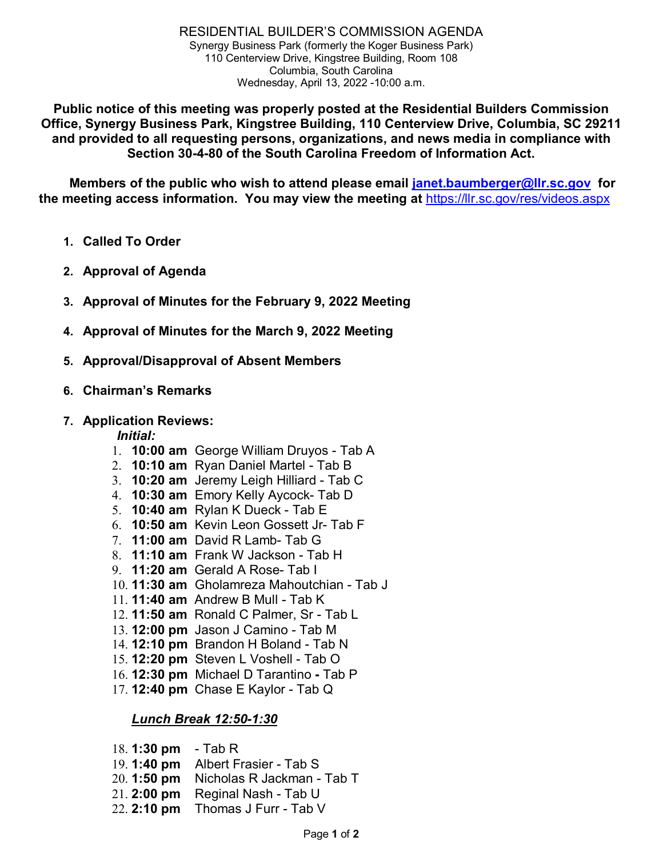**Public notice of this meeting was properly posted at the Residential Builders Commission Office, Synergy Business Park, Kingstree Building, 110 Centerview Drive, Columbia, SC 29211 and provided to all requesting persons, organizations, and news media in compliance with Section 30-4-80 of the South Carolina Freedom of Information Act.**

**Members of the public who wish to attend please email [janet.baumberger@llr.sc.gov](mailto:janet.baumberger@llr.sc.gov) for the meeting access information. You may view the meeting at** <https://llr.sc.gov/res/videos.aspx>

- **1. Called To Order**
- **2. Approval of Agenda**
- **3. Approval of Minutes for the February 9, 2022 Meeting**
- **4. Approval of Minutes for the March 9, 2022 Meeting**
- **5. Approval/Disapproval of Absent Members**
- **6. Chairman's Remarks**

## **7. Application Reviews:**

## *Initial:*

- 1. **10:00 am** George William Druyos Tab A
- 2. **10:10 am** Ryan Daniel Martel Tab B
- 3. **10:20 am** Jeremy Leigh Hilliard Tab C
- 4. **10:30 am** Emory Kelly Aycock- Tab D
- 5. **10:40 am** Rylan K Dueck Tab E
- 6. **10:50 am** Kevin Leon Gossett Jr- Tab F
- 7. **11:00 am** David R Lamb- Tab G
- 8. **11:10 am** Frank W Jackson Tab H
- 9. **11:20 am** Gerald A Rose- Tab I
- 10. **11:30 am** Gholamreza Mahoutchian Tab J
- 11. **11:40 am** Andrew B Mull Tab K
- 12. **11:50 am** Ronald C Palmer, Sr Tab L
- 13. **12:00 pm** Jason J Camino Tab M
- 14. **12:10 pm** Brandon H Boland Tab N
- 15. **12:20 pm** Steven L Voshell Tab O
- 16. **12:30 pm** Michael D Tarantino **-** Tab P
- 17. **12:40 pm** Chase E Kaylor Tab Q

# *Lunch Break 12:50-1:30*

- 18. **1:30 pm**  Tab R
- 19. **1:40 pm** Albert Frasier Tab S
- 20. **1:50 pm** Nicholas R Jackman Tab T
- 21. **2:00 pm** Reginal Nash Tab U
- 22. **2:10 pm** Thomas J Furr Tab V